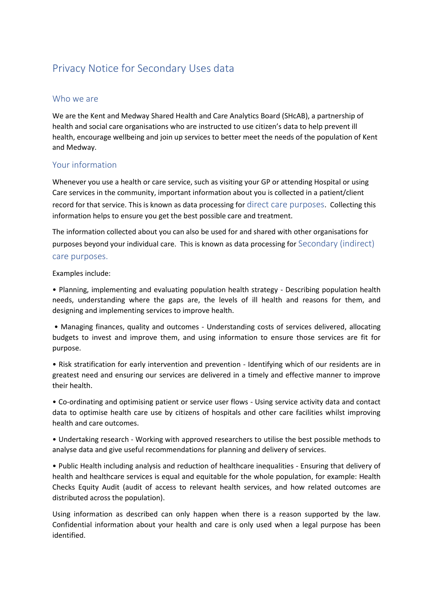# Privacy Notice for Secondary Uses data

#### Who we are

We are the Kent and Medway Shared Health and Care Analytics Board (SHcAB), a partnership of health and social care organisations who are instructed to use citizen's data to help prevent ill health, encourage wellbeing and join up services to better meet the needs of the population of Kent and Medway.

## Your information

Whenever you use a health or care service, such as visiting your GP or attending Hospital or using Care services in the community, important information about you is collected in a patient/client record for that service. This is known as data processing for direct care purposes. Collecting this information helps to ensure you get the best possible care and treatment.

The information collected about you can also be used for and shared with other organisations for purposes beyond your individual care. This is known as data processing for Secondary (indirect) care purposes.

Examples include:

• Planning, implementing and evaluating population health strategy - Describing population health needs, understanding where the gaps are, the levels of ill health and reasons for them, and designing and implementing services to improve health.

• Managing finances, quality and outcomes - Understanding costs of services delivered, allocating budgets to invest and improve them, and using information to ensure those services are fit for purpose.

• Risk stratification for early intervention and prevention - Identifying which of our residents are in greatest need and ensuring our services are delivered in a timely and effective manner to improve their health.

• Co-ordinating and optimising patient or service user flows - Using service activity data and contact data to optimise health care use by citizens of hospitals and other care facilities whilst improving health and care outcomes.

• Undertaking research - Working with approved researchers to utilise the best possible methods to analyse data and give useful recommendations for planning and delivery of services.

• Public Health including analysis and reduction of healthcare inequalities - Ensuring that delivery of health and healthcare services is equal and equitable for the whole population, for example: Health Checks Equity Audit (audit of access to relevant health services, and how related outcomes are distributed across the population).

Using information as described can only happen when there is a reason supported by the law. Confidential information about your health and care is only used when a legal purpose has been identified.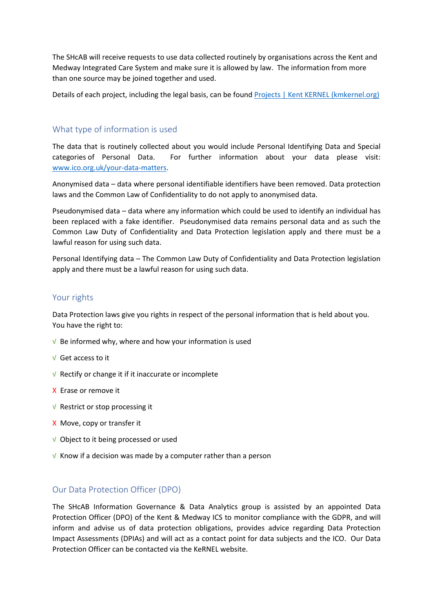The SHcAB will receive requests to use data collected routinely by organisations across the Kent and Medway Integrated Care System and make sure it is allowed by law. The information from more than one source may be joined together and used.

Details of each project, including the legal basis, can be foun[d Projects | Kent KERNEL \(kmkernel.org\)](https://www.kmkernel.org/projects)

## What type of information is used

The data that is routinely collected about you would include Personal Identifying Data and Special categories of Personal Data. For further information about your data please visit: [www.ico.org.uk/your-data-matters.](http://www.ico.org.uk/your-data-matters)

Anonymised data – data where personal identifiable identifiers have been removed. Data protection laws and the Common Law of Confidentiality to do not apply to anonymised data.

Pseudonymised data – data where any information which could be used to identify an individual has been replaced with a fake identifier. Pseudonymised data remains personal data and as such the Common Law Duty of Confidentiality and Data Protection legislation apply and there must be a lawful reason for using such data.

Personal Identifying data – The Common Law Duty of Confidentiality and Data Protection legislation apply and there must be a lawful reason for using such data.

#### Your rights

Data Protection laws give you rights in respect of the personal information that is held about you. You have the right to:

- √ Be informed why, where and how your information is used
- √ Get access to it
- √ Rectify or change it if it inaccurate or incomplete
- X Erase or remove it
- √ Restrict or stop processing it
- X Move, copy or transfer it
- √ Object to it being processed or used
- $\sqrt{V}$  Know if a decision was made by a computer rather than a person

#### Our Data Protection Officer (DPO)

The SHcAB Information Governance & Data Analytics group is assisted by an appointed Data Protection Officer (DPO) of the Kent & Medway ICS to monitor compliance with the GDPR, and will inform and advise us of data protection obligations, provides advice regarding Data Protection Impact Assessments (DPIAs) and will act as a contact point for data subjects and the ICO. Our Data Protection Officer can be contacted via the KeRNEL website.